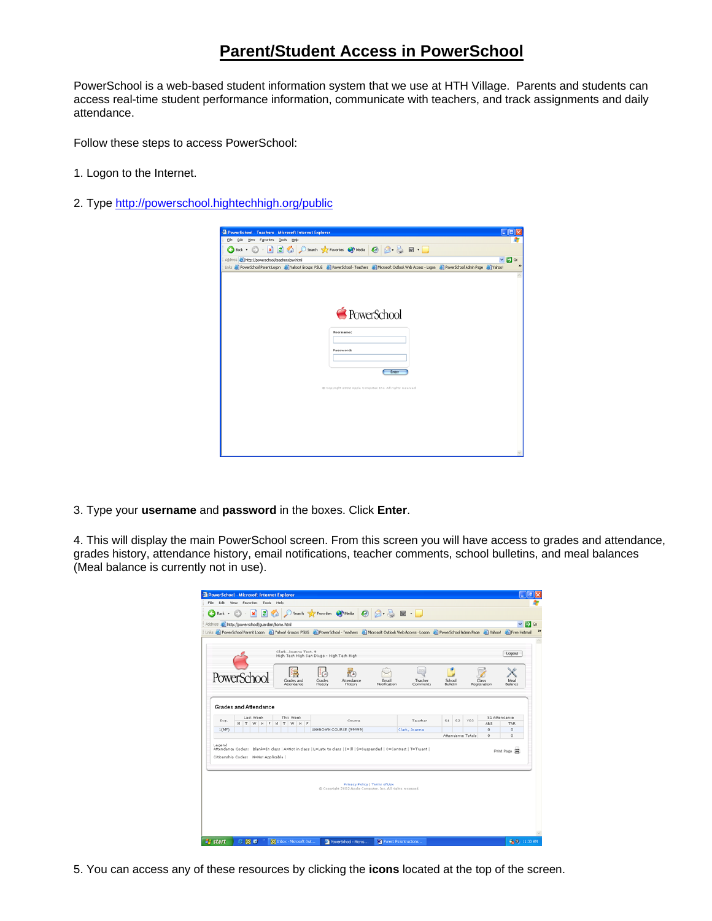# **Parent/Student Access in PowerSchool**

PowerSchool is a web-based student information system that we use at HTH Village. Parents and students can access real-time student performance information, communicate with teachers, and track assignments and daily attendance.

Follow these steps to access PowerSchool:

- 1. Logon to the Internet.
- 2. Type<http://powerschool.hightechhigh.org/public>

| PowerSchool - Teachers - Microsoft Internet Explorer                                                                                                    | $L$ ok           |
|---------------------------------------------------------------------------------------------------------------------------------------------------------|------------------|
| Elle Edit View Figuorites Tools Help                                                                                                                    |                  |
| <b>OBox · ⊙ · ⊠ 2 % p Search g CP revolus @ mds © B &amp; E · D</b>                                                                                     |                  |
| Address @ http://powerschool/teachers/pw.html                                                                                                           | $\vee$ $\Box$ 60 |
| Links @ PowerSchool Parent Logon @ Yahoo! Groups PSUG @ PowerSchool - Teachers @ Microsoft Outlook Web Access - Logon @ PowerSchool Admin Page @ Yahoo! |                  |
|                                                                                                                                                         |                  |
|                                                                                                                                                         |                  |
|                                                                                                                                                         |                  |
|                                                                                                                                                         |                  |
| PowerSchool                                                                                                                                             |                  |
|                                                                                                                                                         |                  |
|                                                                                                                                                         |                  |
| <b>Username:</b>                                                                                                                                        |                  |
|                                                                                                                                                         |                  |
| Password:                                                                                                                                               |                  |
|                                                                                                                                                         |                  |
| Erner                                                                                                                                                   |                  |
|                                                                                                                                                         |                  |
| @ Copyright 2002 Apple Computer, Inc. All rights reserved.                                                                                              |                  |
|                                                                                                                                                         |                  |
|                                                                                                                                                         |                  |
|                                                                                                                                                         |                  |
|                                                                                                                                                         |                  |
|                                                                                                                                                         |                  |
|                                                                                                                                                         |                  |
|                                                                                                                                                         |                  |
|                                                                                                                                                         |                  |

3. Type your **username** and **password** in the boxes. Click **Enter**.

4. This will display the main PowerSchool screen. From this screen you will have access to grades and attendance, grades history, attendance history, email notifications, teacher comments, school bulletins, and meal balances (Meal balance is currently not in use).

|             |                   |                                     |                                                                        | Clark, Joanna Test, 9       | High Tech High San Diego - High Tech High |                                                                                                                   |                                   |         |                                             |                   |                 | Logout                             |
|-------------|-------------------|-------------------------------------|------------------------------------------------------------------------|-----------------------------|-------------------------------------------|-------------------------------------------------------------------------------------------------------------------|-----------------------------------|---------|---------------------------------------------|-------------------|-----------------|------------------------------------|
| PowerSchool |                   |                                     | Grades<br>Grades and<br>Attendance<br>History<br>Attendance<br>History |                             |                                           | Email<br>Notification                                                                                             | <b>ROA</b><br>Teacher<br>Comments |         | School<br>Class<br>Bulletin<br>Registration |                   | Meal<br>Balance |                                    |
|             |                   | <b>Grades and Attendance</b>        |                                                                        |                             |                                           |                                                                                                                   |                                   |         |                                             |                   |                 |                                    |
| Exp.        | M<br>$\mathbf{r}$ | Last Week<br>W<br>H                 | F                                                                      | This Week<br>T.<br>W<br>H F |                                           | Course                                                                                                            |                                   | Teacher | Si.                                         | 62<br>Y03         | ABS             | <b>S1 Attendance</b><br><b>TAR</b> |
| L(MF)       |                   |                                     | UNKNOWN COURSE (99999)                                                 |                             |                                           |                                                                                                                   | Clark, Joanna                     |         |                                             | $\Omega$          | $\circ$         |                                    |
|             |                   |                                     |                                                                        |                             |                                           |                                                                                                                   |                                   |         |                                             | Attendance Totals | $\circ$         | Ö.                                 |
| Legend      |                   | Citizenship Codes: N=Not Applicable |                                                                        |                             |                                           | Attendance Codes: Blank=In class   A=Not in class   L=Late to class   I=III   S=Suspended   C=Contract   T=Truant |                                   |         |                                             |                   |                 | Print Page                         |
|             |                   |                                     |                                                                        |                             |                                           |                                                                                                                   |                                   |         |                                             |                   |                 |                                    |
|             |                   |                                     |                                                                        |                             |                                           | @ Copyright 2002 Apple Computer, Inc. All rights reserved.                                                        | Privacy Policy   Terms of Use     |         |                                             |                   |                 |                                    |

5. You can access any of these resources by clicking the **icons** located at the top of the screen.